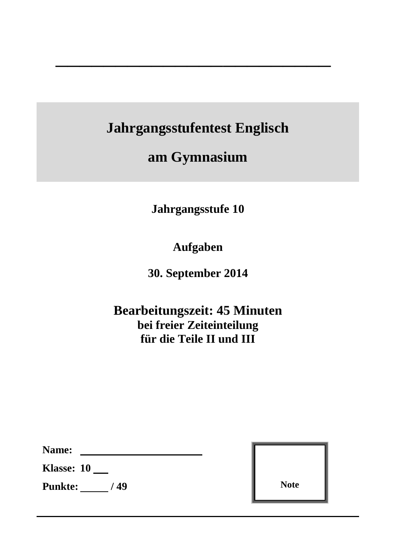**Jahrgangsstufentest Englisch**

 $\overline{\phantom{a}}$  , which is a set of the set of the set of the set of the set of the set of the set of the set of the set of the set of the set of the set of the set of the set of the set of the set of the set of the set of th

**am Gymnasium** 

**Jahrgangsstufe 10**

**Aufgaben**

**30. September 2014**

**Bearbeitungszeit: 45 Minuten bei freier Zeiteinteilung für die Teile II und III**

| Name: |  |
|-------|--|
|       |  |

**Klasse: 10**

**Punkte:** / 49

| <b>Note</b> |  |
|-------------|--|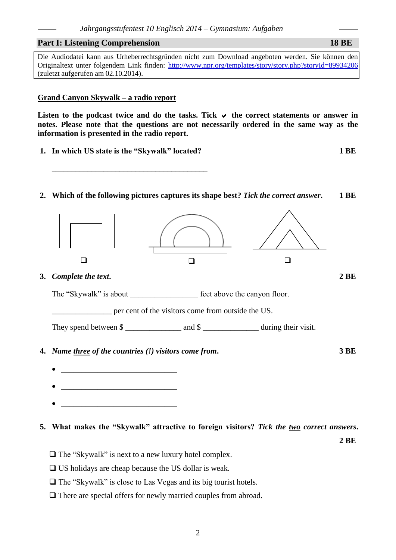### **Part I: Listening Comprehension 18 BE**

Die Audiodatei kann aus Urheberrechtsgründen nicht zum Download angeboten werden. Sie können den Originaltext unter folgendem Link finden:<http://www.npr.org/templates/story/story.php?storyId=89934206> (zuletzt aufgerufen am 02.10.2014).

### **Grand Canyon Skywalk – a radio report**

Listen to the podcast twice and do the tasks. Tick  $\vee$  the correct statements or answer in **notes. Please note that the questions are not necessarily ordered in the same way as the information is presented in the radio report.**

**1. In which US state is the "Skywalk" located? 1 BE**

\_\_\_\_\_\_\_\_\_\_\_\_\_\_\_\_\_\_\_\_\_\_\_\_\_\_\_\_\_\_\_\_\_\_\_\_\_\_\_

**2. Which of the following pictures captures its shape best?** *Tick the correct answer***. 1 BE**



- $\Box$  US holidays are cheap because the US dollar is weak.
- $\Box$  The "Skywalk" is close to Las Vegas and its big tourist hotels.
- $\Box$  There are special offers for newly married couples from abroad.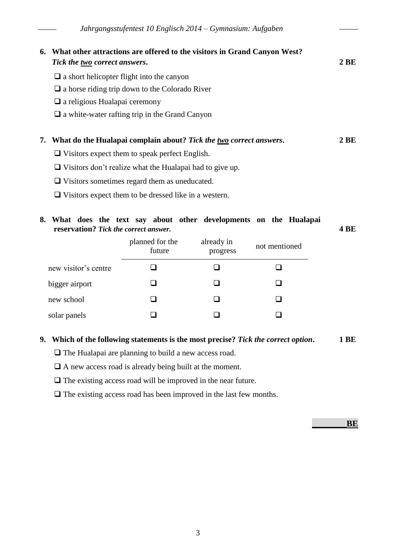| 6. | What other attractions are offered to the visitors in Grand Canyon West?<br>Tick the <u>two</u> correct answers. | 2 BE            |
|----|------------------------------------------------------------------------------------------------------------------|-----------------|
|    | $\Box$ a short helicopter flight into the canyon                                                                 |                 |
|    | $\Box$ a horse riding trip down to the Colorado River                                                            |                 |
|    | $\Box$ a religious Hualapai ceremony                                                                             |                 |
|    | $\Box$ a white-water rafting trip in the Grand Canyon                                                            |                 |
| 7. | What do the Hualapai complain about? Tick the two correct answers.                                               | 2 <sub>BE</sub> |
|    | $\Box$ Visitors expect them to speak perfect English.                                                            |                 |
|    | $\Box$ Visitors don't realize what the Hualapai had to give up.                                                  |                 |

- Visitors sometimes regard them as uneducated.
- $\Box$  Visitors expect them to be dressed like in a western.

### **8. What does the text say about other developments on the Hualapai reservation?** *Tick the correct answer.* **4 BE**

|                      | planned for the<br>future | already in<br>progress | not mentioned |
|----------------------|---------------------------|------------------------|---------------|
| new visitor's centre |                           |                        |               |
| bigger airport       |                           |                        |               |
| new school           |                           |                        |               |
| solar panels         |                           |                        |               |

## **9. Which of the following statements is the most precise?** *Tick the correct option***. 1 BE**

 $\Box$  The Hualapai are planning to build a new access road.

 $\Box$  A new access road is already being built at the moment.

 $\Box$  The existing access road will be improved in the near future.

 $\Box$  The existing access road has been improved in the last few months.

 $BE$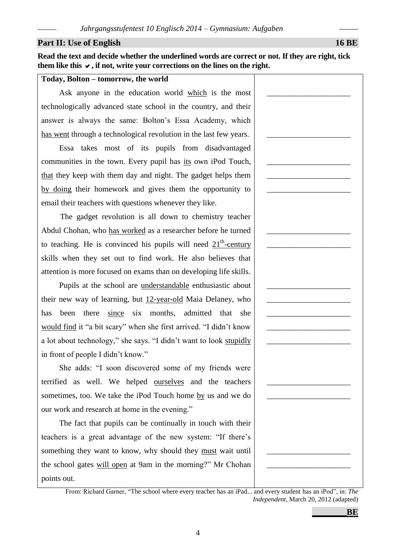### **Part II:** Use of English 16 BE

**Read the text and decide whether the underlined words are correct or not. If they are right, tick**  them like this  $\vee$ , if not, write your corrections on the lines on the right.

### **Today, Bolton – tomorrow, the world**

Ask anyone in the education world which is the most technologically advanced state school in the country, and their answer is always the same: Bolton's Essa Academy, which has went through a technological revolution in the last few years.

Essa takes most of its pupils from disadvantaged communities in the town. Every pupil has its own iPod Touch, that they keep with them day and night. The gadget helps them by doing their homework and gives them the opportunity to email their teachers with questions whenever they like.

The gadget revolution is all down to chemistry teacher Abdul Chohan, who has worked as a researcher before he turned to teaching. He is convinced his pupils will need  $21<sup>th</sup>$ -century skills when they set out to find work. He also believes that attention is more focused on exams than on developing life skills.

Pupils at the school are understandable enthusiastic about their new way of learning, but 12-year-old Maia Delaney, who has been there since six months, admitted that she would find it "a bit scary" when she first arrived. "I didn't know a lot about technology," she says. "I didn't want to look stupidly in front of people I didn't know."

She adds: "I soon discovered some of my friends were terrified as well. We helped ourselves and the teachers sometimes, too. We take the iPod Touch home by us and we do our work and research at home in the evening."

The fact that pupils can be continually in touch with their teachers is a great advantage of the new system: "If there's something they want to know, why should they must wait until the school gates will open at 9am in the morning?" Mr Chohan points out.

4

| , Bolton – tomorrow, the world                                                                            |  |
|-----------------------------------------------------------------------------------------------------------|--|
| sk anyone in the education world which is the most                                                        |  |
| ogically advanced state school in the country, and their                                                  |  |
| is always the same: Bolton's Essa Academy, which                                                          |  |
| or through a technological revolution in the last few years.                                              |  |
| ssa takes most of its pupils from disadvantaged                                                           |  |
| inities in the town. Every pupil has <u>its</u> own iPod Touch,                                           |  |
| by keep with them day and night. The gadget helps them                                                    |  |
| ng their homework and gives them the opportunity to                                                       |  |
| heir teachers with questions whenever they like.                                                          |  |
| The gadget revolution is all down to chemistry teacher                                                    |  |
| Chohan, who has worked as a researcher before he turned                                                   |  |
| hing. He is convinced his pupils will need $21^{\text{m}}$ -century                                       |  |
| when they set out to find work. He also believes that                                                     |  |
| In is more focused on exams than on developing life skills.                                               |  |
| upils at the school are <u>understandable</u> enthusiastic about                                          |  |
| ew way of learning, but 12-year-old Maia Delaney, who                                                     |  |
| een there since six months, admitted that<br>she                                                          |  |
| find it "a bit scary" when she first arrived. "I didn't know                                              |  |
| out technology," she says. "I didn't want to look stupidly                                                |  |
| of people I didn't know."                                                                                 |  |
| he adds: "I soon discovered some of my friends were                                                       |  |
| d as well. We helped ourselves and the teachers                                                           |  |
| nes, too. We take the iPod Touch home <u>by</u> us and we do                                              |  |
| rk and research at home in the evening."                                                                  |  |
| he fact that pupils can be continually in touch with their                                                |  |
| s is a great advantage of the new system: "If there's                                                     |  |
| ing they want to know, why should they must wait until                                                    |  |
| ool gates will open at 9am in the morning?" Mr Chohan                                                     |  |
| out.                                                                                                      |  |
| From: Richard Garner, "The school where every teacher has an iPad and every student has an iPod", in: The |  |